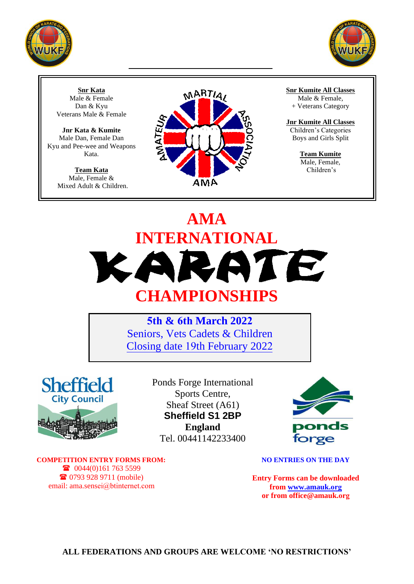



**Snr Kata** Male & Female Dan & Kyu Veterans Male & Female

**Jnr Kata & Kumite** Male Dan, Female Dan Kyu and Pee-wee and Weapons Kata.

> **Team Kata** Male, Female & Mixed Adult & Children.



**Snr Kumite All Classes**

Male & Female, + Veterans Category

**Jnr Kumite All Classes** Children's Categories Boys and Girls Split

> **Team Kumite** Male, Female, Children's

# **AMA INTERNATIONAL** KARATE **CHAMPIONSHIPS**

**5th & 6th March 2022** Seniors, Vets Cadets & Children Closing date 19th February 2022



Ponds Forge International Sports Centre, Sheaf Street (A61) **Sheffield S1 2BP England** Tel. 00441142233400



**COMPETITION ENTRY FORMS FROM:** 0044(0)161 763 5599 0793 928 9711 (mobile) email: ama.sensei@btinternet.com

**NO ENTRIES ON THE DAY** 

**Entry Forms can be downloaded f[rom www.amauk.](http://www.amauk.co.uk/)org or from office@amauk.org**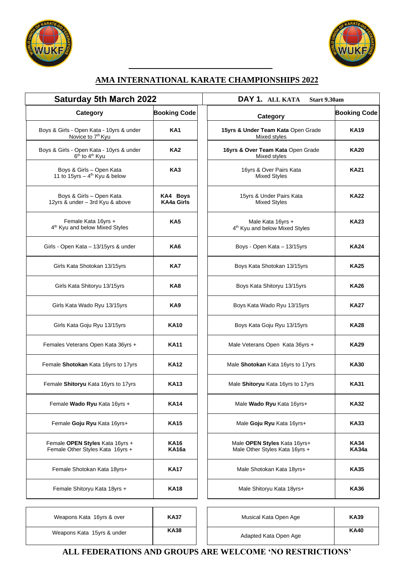



#### **AMA INTERNATIONAL KARATE CHAMPIONSHIPS 2022**

| <b>Saturday 5th March 2022</b>                                                     |                             | DAY 1. ALL KATA<br>Start 9.30am                                 |                     |  |  |
|------------------------------------------------------------------------------------|-----------------------------|-----------------------------------------------------------------|---------------------|--|--|
| Category                                                                           | <b>Booking Code</b>         | Category                                                        | <b>Booking</b>      |  |  |
| Boys & Girls - Open Kata - 10yrs & under<br>Novice to 7 <sup>th</sup> Kyu          | KA <sub>1</sub>             | 15yrs & Under Team Kata Open Grade<br>Mixed styles              | <b>KA19</b>         |  |  |
| Boys & Girls - Open Kata - 10yrs & under<br>6 <sup>th</sup> to 4 <sup>th</sup> Kyu | KA <sub>2</sub>             | 16yrs & Over Team Kata Open Grade<br>Mixed styles               | <b>KA20</b>         |  |  |
| Boys & Girls - Open Kata<br>11 to 15yrs - 4 <sup>th</sup> Kyu & below              | KA <sub>3</sub>             | 16yrs & Over Pairs Kata<br><b>Mixed Styles</b>                  | <b>KA21</b>         |  |  |
| Boys & Girls - Open Kata<br>12yrs & under - 3rd Kyu & above                        | KA4 Boys<br>KA4a Girls      | 15yrs & Under Pairs Kata<br><b>Mixed Styles</b>                 | <b>KA22</b>         |  |  |
| Female Kata 16yrs +<br>4 <sup>th</sup> Kyu and below Mixed Styles                  | KA <sub>5</sub>             | Male Kata 16yrs +<br>4 <sup>th</sup> Kyu and below Mixed Styles | <b>KA23</b>         |  |  |
| Girls - Open Kata - 13/15yrs & under                                               | KA6                         | Boys - Open Kata - 13/15yrs                                     | <b>KA24</b>         |  |  |
| Girls Kata Shotokan 13/15yrs                                                       | KA7                         | Boys Kata Shotokan 13/15yrs                                     | <b>KA25</b>         |  |  |
| Girls Kata Shitoryu 13/15yrs                                                       | KA8                         | Boys Kata Shitoryu 13/15yrs                                     | <b>KA26</b>         |  |  |
| Girls Kata Wado Ryu 13/15yrs                                                       | KA9                         | Boys Kata Wado Ryu 13/15yrs                                     | <b>KA27</b>         |  |  |
| Girls Kata Goju Ryu 13/15yrs                                                       | <b>KA10</b>                 | Boys Kata Goju Ryu 13/15yrs                                     | <b>KA28</b>         |  |  |
| Females Veterans Open Kata 36yrs +                                                 | <b>KA11</b>                 | Male Veterans Open Kata 36yrs +                                 | <b>KA29</b>         |  |  |
| Female Shotokan Kata 16yrs to 17yrs                                                | <b>KA12</b>                 | Male Shotokan Kata 16yrs to 17yrs                               | <b>KA30</b>         |  |  |
| Female Shitoryu Kata 16yrs to 17yrs                                                | <b>KA13</b>                 | Male Shitoryu Kata 16yrs to 17yrs                               | <b>KA31</b>         |  |  |
| Female Wado Ryu Kata 16yrs +                                                       | <b>KA14</b>                 | Male Wado Ryu Kata 16yrs+                                       | <b>KA32</b>         |  |  |
| Female Goju Ryu Kata 16yrs+                                                        | <b>KA15</b>                 | Male Goju Ryu Kata 16yrs+                                       | <b>KA33</b>         |  |  |
| Female OPEN Styles Kata 16yrs +<br>Female Other Styles Kata 16yrs +                | <b>KA16</b><br><b>KA16a</b> | Male OPEN Styles Kata 16yrs+<br>Male Other Styles Kata 16yrs +  | KA34<br><b>KA34</b> |  |  |
| Female Shotokan Kata 18yrs+                                                        | <b>KA17</b>                 | Male Shotokan Kata 18yrs+                                       | <b>KA35</b>         |  |  |
| Female Shitoryu Kata 18yrs +                                                       | <b>KA18</b>                 | Male Shitoryu Kata 18yrs+                                       | <b>KA36</b>         |  |  |
| Weapons Kata 16yrs & over                                                          | <b>KA37</b>                 | Musical Kata Open Age                                           | <b>KA39</b>         |  |  |
|                                                                                    | <b>VA20</b>                 |                                                                 | <b>VAA0</b>         |  |  |

| day 5th March 2022                                                |                        | DAY 1. ALL KATA<br>Start 9.30am                                 |                     |  |  |  |
|-------------------------------------------------------------------|------------------------|-----------------------------------------------------------------|---------------------|--|--|--|
| Category                                                          | <b>Booking Code</b>    | Category                                                        | <b>Booking Code</b> |  |  |  |
| Open Kata - 10yrs & under<br>vice to 7 <sup>th</sup> Kyu          | KA <sub>1</sub>        | 15yrs & Under Team Kata Open Grade<br>Mixed styles              | <b>KA19</b>         |  |  |  |
| Open Kata - 10yrs & under<br><sup>յե</sup> to 4 <sup>ւի</sup> Kyu | KA <sub>2</sub>        | 16yrs & Over Team Kata Open Grade<br>Mixed styles               | <b>KA20</b>         |  |  |  |
| Girls - Open Kata<br>rs – 4 <sup>th</sup> Kyu & below             | KA <sub>3</sub>        | 16yrs & Over Pairs Kata<br><b>Mixed Styles</b>                  | <b>KA21</b>         |  |  |  |
| Girls – Open Kata<br>der – 3rd Kyu & above                        | KA4 Boys<br>KA4a Girls | 15yrs & Under Pairs Kata<br><b>Mixed Styles</b>                 | <b>KA22</b>         |  |  |  |
| ale Kata 16yrs +<br>d below Mixed Styles                          | KA <sub>5</sub>        | Male Kata 16yrs +<br>4 <sup>th</sup> Kyu and below Mixed Styles | <b>KA23</b>         |  |  |  |
| Kata – 13/15yrs & under                                           | KA6                    | Boys - Open Kata - 13/15yrs                                     | <b>KA24</b>         |  |  |  |
| a Shotokan 13/15yrs                                               | KA7                    | Boys Kata Shotokan 13/15yrs                                     | <b>KA25</b>         |  |  |  |
| a Shitoryu 13/15yrs                                               | KA8                    | Boys Kata Shitoryu 13/15yrs                                     | <b>KA26</b>         |  |  |  |
| Wado Ryu 13/15yrs                                                 | KA <sub>9</sub>        | Boys Kata Wado Ryu 13/15yrs                                     | <b>KA27</b>         |  |  |  |
| a Goju Ryu 13/15yrs                                               | KA10                   | Boys Kata Goju Ryu 13/15yrs                                     | <b>KA28</b>         |  |  |  |
| erans Open Kata 36yrs +                                           | KA11                   | Male Veterans Open Kata 36yrs +                                 | <b>KA29</b>         |  |  |  |
| <b>okan</b> Kata 16yrs to 17yrs                                   | KA12                   | Male Shotokan Kata 16yrs to 17yrs                               | <b>KA30</b>         |  |  |  |
| oryu Kata 16yrs to 17yrs                                          | KA13                   | Male Shitoryu Kata 16yrs to 17yrs                               | <b>KA31</b>         |  |  |  |
| <b>ado Ryu</b> Kata 16yrs +                                       | KA14                   | Male Wado Ryu Kata 16yrs+                                       | KA32                |  |  |  |
| oju Ryu Kata 16yrs+                                               | <b>KA15</b>            | Male Goju Ryu Kata 16yrs+                                       | KA33                |  |  |  |
| EN Styles Kata 16yrs +<br>er Styles Kata 16yrs +                  | KA16<br>KA16a          | Male OPEN Styles Kata 16yrs+<br>Male Other Styles Kata 16yrs +  | KA34<br>KA34a       |  |  |  |
| hotokan Kata 18yrs+                                               | KA17                   | Male Shotokan Kata 18yrs+                                       | KA35                |  |  |  |
| hitoryu Kata 18yrs +                                              | <b>KA18</b>            | Male Shitoryu Kata 18yrs+                                       | KA36                |  |  |  |

| Weapons Kata 16yrs & over  | <b>KA37</b><br>Musical Kata Open Age |  |                       | <b>KA39</b> |
|----------------------------|--------------------------------------|--|-----------------------|-------------|
| Weapons Kata 15yrs & under | <b>KA38</b>                          |  | Adapted Kata Open Age | <b>KA40</b> |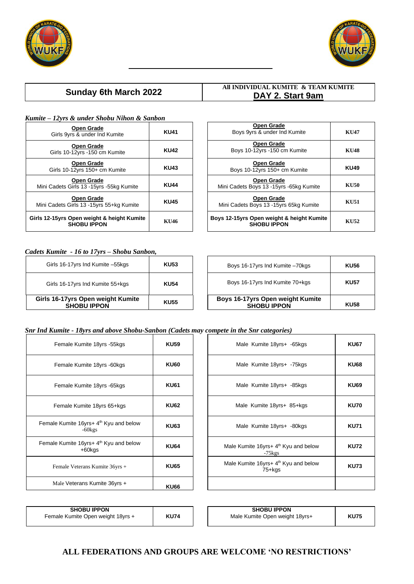



#### **Sunday 6th March 2022**

#### **All INDIVIDUAL KUMITE & TEAM KUMITE DAY 2. Start 9am**

#### *Kumite – 12yrs & under Shobu Nihon & Sanbon*

| <b>Open Grade</b><br>Girls 9yrs & under Ind Kumite                | <b>KU41</b> |
|-------------------------------------------------------------------|-------------|
| <b>Open Grade</b><br>Girls 10-12yrs -150 cm Kumite                | <b>KU42</b> |
| <b>Open Grade</b><br>Girls 10-12yrs 150+ cm Kumite                | <b>KU43</b> |
| Open Grade<br>Mini Cadets Girls 13 - 15yrs - 55kg Kumite          | <b>KU44</b> |
| <b>Open Grade</b><br>Mini Cadets Girls 13 - 15 yrs 55 + kg Kumite | <b>KU45</b> |
| Girls 12-15yrs Open weight & height Kumite<br><b>SHOBU IPPON</b>  | KU46        |

| Open Grade<br>Boys 9yrs & under Ind Kumite                      | KU47        |
|-----------------------------------------------------------------|-------------|
| Open Grade<br>Boys 10-12yrs -150 cm Kumite                      | <b>KU48</b> |
| Open Grade<br>Boys 10-12yrs 150+ cm Kumite                      | <b>KU49</b> |
| Open Grade<br>Mini Cadets Boys 13 -15yrs -65kg Kumite           | <b>KU50</b> |
| Open Grade<br>Mini Cadets Boys 13 -15yrs 65kg Kumite            | KU51        |
| Boys 12-15yrs Open weight & height Kumite<br><b>SHOBU IPPON</b> | KU52        |

#### *Cadets Kumite - 16 to 17yrs – Shobu Sanbon,*

| Girls 16-17yrs Open weight Kumite<br><b>SHOBU IPPON</b> | <b>KU55</b> | Boys 16-17yrs Open weight Kumite<br><b>SHOBU IPPON</b> | <b>KU58</b> |
|---------------------------------------------------------|-------------|--------------------------------------------------------|-------------|
| Girls 16-17yrs Ind Kumite 55+kgs                        | <b>KU54</b> | Boys 16-17yrs Ind Kumite 70+kgs                        | <b>KU57</b> |
| Girls 16-17yrs Ind Kumite -55kgs                        | <b>KU53</b> | Boys 16-17yrs Ind Kumite -70kgs                        | <b>KU56</b> |

| Boys 16-17yrs Ind Kumite -70kgs                        | <b>KU56</b> |
|--------------------------------------------------------|-------------|
| Boys 16-17 yrs Ind Kumite 70+kgs                       | <b>KU57</b> |
| Boys 16-17yrs Open weight Kumite<br><b>SHOBU IPPON</b> | <b>KU58</b> |

#### *Snr Ind Kumite - 18yrs and above Shobu-Sanbon (Cadets may compete in the Snr categories)*

| Female Kumite 18yrs -55kgs                                      | <b>KU59</b> | Male Kumite 18                      |
|-----------------------------------------------------------------|-------------|-------------------------------------|
| Female Kumite 18yrs -60kgs                                      | <b>KU60</b> | Male Kumite 18                      |
| Female Kumite 18yrs -65kgs                                      | <b>KU61</b> | Male Kumite 18                      |
| Female Kumite 18yrs 65+kgs                                      | <b>KU62</b> | Male Kumite 18y                     |
| Female Kumite 16yrs+ 4 <sup>th</sup> Kyu and below<br>$-60$ kgs | <b>KU63</b> | Male Kumite 18                      |
| Female Kumite 16yrs+ 4 <sup>th</sup> Kyu and below<br>+60kgs    | <b>KU64</b> | Male Kumite 16yrs+ 4<br>$-75$ $kgs$ |
| Female Veterans Kumite 36yrs +                                  | <b>KU65</b> | Male Kumite 16yrs+ 4<br>$75+kg$     |
| Male Veterans Kumite 36yrs +                                    | <b>KU66</b> |                                     |

| Female Kumite 18yrs -55kgs                                  | <b>KU59</b> | Male Kumite 18yrs+ -65kgs                                     | <b>KU67</b> |
|-------------------------------------------------------------|-------------|---------------------------------------------------------------|-------------|
| Female Kumite 18yrs -60kgs                                  | <b>KU60</b> | Male Kumite 18yrs+ -75kgs                                     | <b>KU68</b> |
| Female Kumite 18yrs - 65kgs                                 | <b>KU61</b> | Male Kumite 18yrs+ -85kgs                                     | <b>KU69</b> |
| Female Kumite 18yrs 65+kgs                                  | <b>KU62</b> | Male Kumite 18yrs+ 85+kgs                                     | <b>KU70</b> |
| le Kumite 16yrs+ 4 <sup>th</sup> Kyu and below<br>$-60$ kgs | <b>KU63</b> | Male Kumite 18yrs+ -80kgs                                     | <b>KU71</b> |
| le Kumite 16yrs+ 4 <sup>th</sup> Kyu and below<br>$+60$ kgs | <b>KU64</b> | Male Kumite 16yrs+ 4 <sup>th</sup> Kyu and below<br>$-75$ kgs | <b>KU72</b> |
| Female Veterans Kumite 36yrs +                              | <b>KU65</b> | Male Kumite 16yrs+ 4 <sup>th</sup> Kyu and below<br>75+kgs    | <b>KU73</b> |
| Male Veterans Kumite 36yrs +                                | <b>KU66</b> |                                                               |             |

| <b>SHOBU IPPON</b><br>Female Kumite Open weight 18yrs + | <b>KU74</b> | <b>SHOBU IPPON</b><br>Male Kumite Open weight 18yrs+ | <b>KU75</b> |
|---------------------------------------------------------|-------------|------------------------------------------------------|-------------|
|                                                         |             |                                                      |             |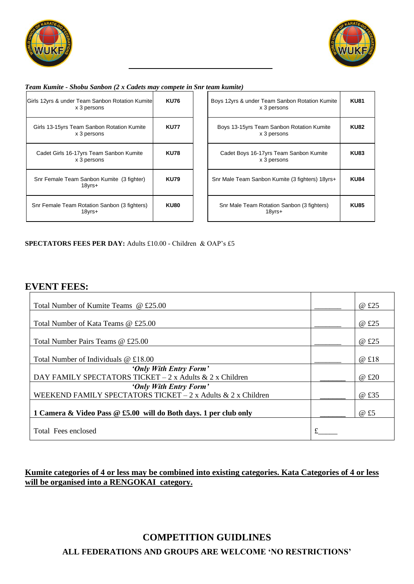



#### *Team Kumite - Shobu Sanbon (2 x Cadets may compete in Snr team kumite)*

| Girls 12yrs & under Team Sanbon Rotation Kumite<br>x 3 persons | <b>KU76</b> |
|----------------------------------------------------------------|-------------|
| Girls 13-15yrs Team Sanbon Rotation Kumite<br>x 3 persons      | <b>KU77</b> |
| Cadet Girls 16-17yrs Team Sanbon Kumite<br>x 3 persons         | <b>KU78</b> |
| Snr Female Team Sanbon Kumite (3 fighter)<br>18yrs+            | <b>KU79</b> |
| Snr Female Team Rotation Sanbon (3 fighters)<br>18yrs+         | <b>KU80</b> |

| <b>KU76</b> | Boys 12yrs & under Team Sanbon Rotation Kumite<br>x 3 persons | <b>KU81</b> |
|-------------|---------------------------------------------------------------|-------------|
| <b>KU77</b> | Boys 13-15yrs Team Sanbon Rotation Kumite<br>x 3 persons      | <b>KU82</b> |
| <b>KU78</b> | Cadet Boys 16-17yrs Team Sanbon Kumite<br>x 3 persons         | <b>KU83</b> |
| <b>KU79</b> | Snr Male Team Sanbon Kumite (3 fighters) 18yrs+               | <b>KU84</b> |
| <b>KU80</b> | Snr Male Team Rotation Sanbon (3 fighters)<br>18yrs+          | <b>KU85</b> |

#### **SPECTATORS FEES PER DAY:** Adults £10.00 - Children & OAP's £5

#### **EVENT FEES:**

| Total Number of Kumite Teams @ £25.00                            | @ £25 |
|------------------------------------------------------------------|-------|
|                                                                  |       |
| Total Number of Kata Teams @ £25.00                              | @ £25 |
|                                                                  |       |
| Total Number Pairs Teams @ £25.00                                | @ £25 |
|                                                                  |       |
| Total Number of Individuals $@E18.00$                            | @ £18 |
| 'Only With Entry Form'                                           |       |
| DAY FAMILY SPECTATORS TICKET - 2 x Adults & 2 x Children         | @ £20 |
| 'Only With Entry Form'                                           |       |
| WEEKEND FAMILY SPECTATORS TICKET $-2x$ Adults & 2 x Children     | @ £35 |
|                                                                  |       |
| 1 Camera & Video Pass @ £5.00 will do Both days. 1 per club only | @ £5  |
|                                                                  |       |
| Total Fees enclosed                                              |       |

#### **Kumite categories of 4 or less may be combined into existing categories. Kata Categories of 4 or less will be organised into a RENGOKAI category.**

## **ALL FEDERATIONS AND GROUPS ARE WELCOME 'NO RESTRICTIONS' COMPETITION GUIDLINES**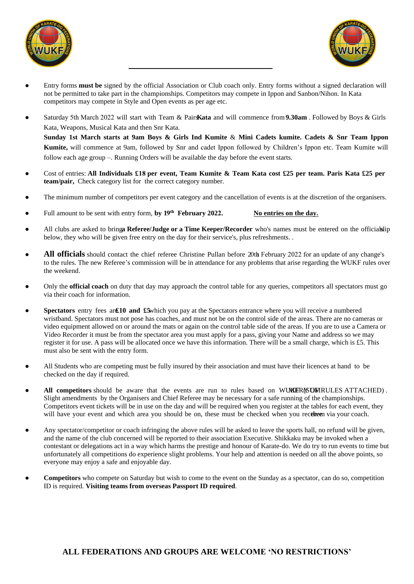



- Entry forms **must be** signed by the official Association or Club coach only. Entry forms without a signed declaration will not be permitted to take part in the championships. Competitors may compete in Ippon and Sanbon/Nihon. In Kata competitors may compete in Style and Open events as per age etc.
- Saturday 5th March 2022 will start with Team & Pairs **Kata** and will commence from **9.30am** . Followed by Boys & Girls Kata, Weapons, Musical Kata and then Snr Kata. **Sunday 1st March starts at 9am Boys & Girls Ind Kumite** & **Mini Cadets kumite. Cadets & Snr Team Ippon Kumite,** will commence at 9am, followed by Snr and cadet Ippon followed by Children's Ippon etc. Team Kumite will follow each age group –. Running Orders will be available the day before the event starts.
- Cost of entries: **All Individuals £ 18 per event, Team Kumite & Team Kata cost £25 per team. Paris Kata £25 per team/pair,** Check category list for the correct category number.
- The minimum number of competitors per event category and the cancellation of events is at the discretion of the organisers.
- Full amount to be sent with entry form, by 19<sup>th</sup> February 2022. **No entries on the day.**
- All clubs are asked to bringa Referee/Judge or a Time Keeper/Recorder who's names must be entered on the officialsip below, they who will be given free entry on the day for their service's, plus refreshments. .
- All **officials** should contact the chief referee Christine Pullan before 20th February 2022 for an update of any change's to the rules. The new Referee's commission will be in attendance for any problems that arise regarding the WUKF rules over the weekend.
- Only the **official coach** on duty that day may approach the control table for any queries, competitors all spectators must go via their coach for information.
- **Spectators** entry fees are **£10 and £5** which you pay at the Spectators entrance where you will receive a numbered wristband. Spectators must not pose has coaches, and must not be on the control side of the areas. There are no cameras or video equipment allowed on or around the mats or again on the control table side of the areas. If you are to use a Camera or Video Recorder it must be from the spectator area you must apply for a pass, giving your Name and address so we may register it for use. A pass will be allocated once we have this information. There will be a small charge, which is £5. This must also be sent with the entry form.
- All Students who are competing must be fully insured by their association and must have their licences at hand to be checked on the day if required.
- All competitors should be aware that the events are run to rules based on WUKER (SUMRULES ATTACHED). Slight amendments by the Organisers and Chief Referee may be necessary for a safe running of the championships. Competitors event tickets will be in use on the day and will be required when you register at the tables for each event, they will have your event and which area you should be on, these must be checked when you receive them via your coach.
- Any spectator/competitor or coach infringing the above rules will be asked to leave the sports hall, no refund will be given, and the name of the club concerned will be reported to their association Executive. Shikkaku may be invoked when a contestant or delegations act in a way which harms the prestige and honour of Karate-do. We do try to run events to time but unfortunately all competitions do experience slight problems. Your help and attention is needed on all the above points, so everyone may enjoy a safe and enjoyable day.
- **Competitors** who compete on Saturday but wish to come to the event on the Sunday as a spectator, can do so, competition ID is required. **Visiting teams from overseas Passport ID required**.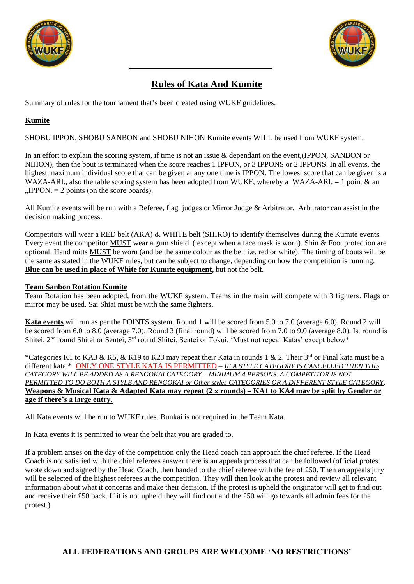



### **Rules of Kata And Kumite**

Summary of rules for the tournament that's been created using WUKF guidelines.

#### **Kumite**

SHOBU IPPON, SHOBU SANBON and SHOBU NIHON Kumite events WILL be used from WUKF system.

In an effort to explain the scoring system, if time is not an issue & dependant on the event,(IPPON, SANBON or NIHON), then the bout is terminated when the score reaches 1 IPPON, or 3 IPPONS or 2 IPPONS. In all events, the highest maximum individual score that can be given at any one time is IPPON. The lowest score that can be given is a WAZA-ARI., also the table scoring system has been adopted from WUKF, whereby a WAZA-ARI. = 1 point & an  $MIPPON. = 2$  points (on the score boards).

All Kumite events will be run with a Referee, flag judges or Mirror Judge & Arbitrator. Arbitrator can assist in the decision making process.

Competitors will wear a RED belt (AKA) & WHITE belt (SHIRO) to identify themselves during the Kumite events. Every event the competitor MUST wear a gum shield ( except when a face mask is worn). Shin & Foot protection are optional. Hand mitts MUST be worn (and be the same colour as the belt i.e. red or white). The timing of bouts will be the same as stated in the WUKF rules, but can be subject to change, depending on how the competition is running. **Blue can be used in place of White for Kumite equipment,** but not the belt.

#### **Team Sanbon Rotation Kumite**

Team Rotation has been adopted, from the WUKF system. Teams in the main will compete with 3 fighters. Flags or mirror may be used. Sai Shiai must be with the same fighters.

**Kata events** will run as per the POINTS system. Round 1 will be scored from 5.0 to 7.0 (average 6.0). Round 2 will be scored from 6.0 to 8.0 (average 7.0). Round 3 (final round) will be scored from 7.0 to 9.0 (average 8.0). Ist round is Shitei, 2<sup>nd</sup> round Shitei or Sentei, 3<sup>rd</sup> round Shitei, Sentei or Tokui. 'Must not repeat Katas' except below\*

\*Categories K1 to KA3 & K5, & K19 to K23 may repeat their Kata in rounds 1 & 2. Their 3rd or Final kata must be a different kata.\* ONLY ONE STYLE KATA IS PERMITTED – *IF A STYLE CATEGORY IS CANCELLED THEN THIS CATEGORY WILL BE ADDED AS A RENGOKAI CATEGORY – MINIMUM 4 PERSONS. A COMPETITOR IS NOT PERMITTED TO DO BOTH A STYLE AND RENGOKAI or Other styles CATEGORIES OR A DIFFERENT STYLE CATEGORY*. **Weapons & Musical Kata & Adapted Kata may repeat (2 x rounds) – KA1 to KA4 may be split by Gender or age if there's a large entry.**

All Kata events will be run to WUKF rules. Bunkai is not required in the Team Kata.

In Kata events it is permitted to wear the belt that you are graded to.

If a problem arises on the day of the competition only the Head coach can approach the chief referee. If the Head Coach is not satisfied with the chief referees answer there is an appeals process that can be followed (official protest wrote down and signed by the Head Coach, then handed to the chief referee with the fee of £50. Then an appeals jury will be selected of the highest referees at the competition. They will then look at the protest and review all relevant information about what it concerns and make their decision. If the protest is upheld the originator will get to find out and receive their £50 back. If it is not upheld they will find out and the £50 will go towards all admin fees for the protest.)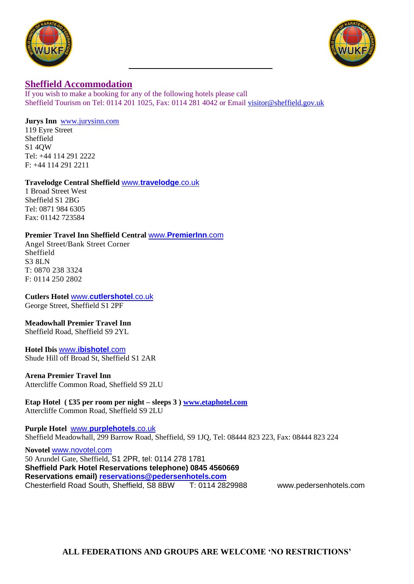



#### **Sheffield Accommodation**

If you wish to make a booking for any of the following hotels please call Sheffield Tourism on Tel: 0114 201 1025, Fax: 0114 281 4042 or Email [visitor@sheffield.gov.uk](mailto:visitor@sheffield.gov.uk)

#### **Jurys Inn** [www.jurysinn.com](http://www.jurysinn.com/)

119 Eyre Street Sheffield S1 4QW Tel: +44 114 291 2222 F: +44 114 291 2211

#### **Travelodge Central Sheffield** www.**[travelodge](http://www.travelodge.co.uk/)**.co.uk

1 Broad Street West Sheffield S1 2BG Tel: 0871 984 6305 Fax: 01142 723584

#### **Premier Travel Inn Sheffield Central** www.**[PremierInn](http://www.premierinn.com/)**.com

Angel Street/Bank Street Corner Sheffield S3 8LN T: 0870 238 3324 F: 0114 250 2802

**Cutlers Hotel** www.**[cutlershotel](http://www.cutlershotel.co.uk/)**.co.uk George Street, Sheffield S1 2PF

#### **Meadowhall Premier Travel Inn**

Sheffield Road, Sheffield S9 2YL

#### **Hotel Ibis** www.**[ibishotel](http://www.ibishotel.com/)**.com Shude Hill off Broad St, Sheffield S1 2AR

**Arena Premier Travel Inn**  Attercliffe Common Road, Sheffield S9 2LU

#### **Etap Hotel ( £35 per room per night – sleeps 3 ) [www.etaphotel.com](http://www.etaphotel.com/)** Attercliffe Common Road, Sheffield S9 2LU

**Purple Hotel** www.**[purplehotels](http://www.purplehotels.co.uk/)**.co.uk Sheffield Meadowhall, 299 Barrow Road, Sheffield, S9 1JQ, Tel: 08444 823 223, Fax: 08444 823 224

**Novotel** [www.novotel.com](http://www.novotel.com/) 50 Arundel Gate, Sheffield, S1 2PR, tel: 0114 278 1781 **Sheffield Park Hotel Reservations telephone) 0845 4560669 Reservations email) [reservations@pedersenhotels.com](mailto:reservations@pedersenhotels.com)** Chesterfield Road South, Sheffield, S8 8BW T: 0114 2829988 www.pedersenhotels.com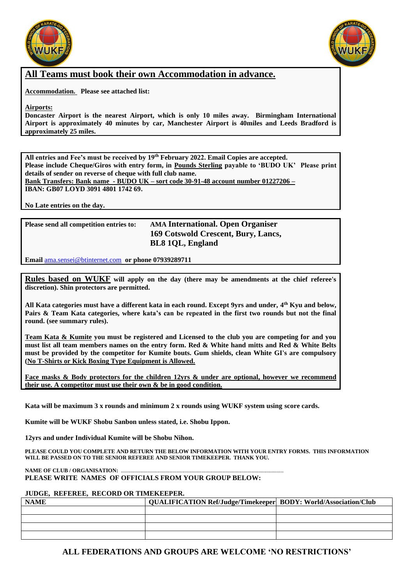



#### **All Teams must book their own Accommodation in advance.**

**Accommodation. Please see attached list:**

**Airports:**

**Doncaster Airport is the nearest Airport, which is only 10 miles away. Birmingham International Airport is approximately 40 minutes by car, Manchester Airport is 40miles and Leeds Bradford is approximately 25 miles.**

**All entries and Fee's must be received by 19 th February 2022. Email Copies are accepted. Please include Cheque/Giros with entry form, in Pounds Sterling payable to 'BUDO UK' Please print details of sender on reverse of cheque with full club name. Bank Transfers: Bank name - BUDO UK – sort code 30-91-48 account number 01227206 –**

**IBAN: GB07 LOYD 3091 4801 1742 69.**

**No Late entries on the day.**

| Please send all competition entries to: | <b>AMA International. Open Organiser</b> |
|-----------------------------------------|------------------------------------------|
|                                         | 169 Cotswold Crescent, Bury, Lancs,      |
|                                         | <b>BL8 1QL, England</b>                  |

**Email** [ama.sensei@btinternet.com](mailto:ama.sensei@btinternet.com) **or phone 07939289711**

**Rules based on WUKF will apply on the day (there may be amendments at the chief referee's discretion). Shin protectors are permitted.**

**All Kata categories must have a different kata in each round. Except 9yrs and under, 4 th Kyu and below, Pairs & Team Kata categories, where kata's can be repeated in the first two rounds but not the final round. (see summary rules).** 

**Team Kata & Kumite you must be registered and Licensed to the club you are competing for and you must list all team members names on the entry form. Red & White hand mitts and Red & White Belts must be provided by the competitor for Kumite bouts. Gum shields, clean White GI's are compulsory (No T-Shirts or Kick Boxing Type Equipment is Allowed.**

**Face masks & Body protectors for the children 12yrs & under are optional, however we recommend their use. A competitor must use their own & be in good condition.**

**Kata will be maximum 3 x rounds and minimum 2 x rounds using WUKF system using score cards.** 

**Kumite will be WUKF Shobu Sanbon unless stated, i.e. Shobu Ippon.** 

**12yrs and under Individual Kumite will be Shobu Nihon.**

**PLEASE COULD YOU COMPLETE AND RETURN THE BELOW INFORMATION WITH YOUR ENTRY FORMS. THIS INFORMATION WILL BE PASSED ON TO THE SENIOR REFEREE AND SENIOR TIMEKEEPER. THANK YOU.**

#### **NAME OF CLUB / ORGANISATION: ... PLEASE WRITE NAMES OF OFFICIALS FROM YOUR GROUP BELOW:**

#### **JUDGE, REFEREE, RECORD OR TIMEKEEPER.**

| <b>NAME</b> | QUALIFICATION Ref/Judge/Timekeeper   BODY: World/Association/Club |  |
|-------------|-------------------------------------------------------------------|--|
|             |                                                                   |  |
|             |                                                                   |  |
|             |                                                                   |  |
|             |                                                                   |  |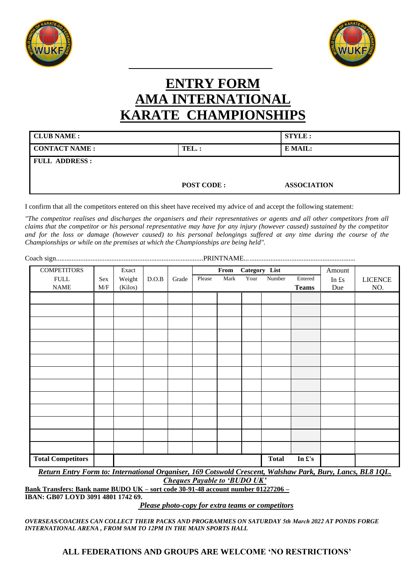



# **ENTRY FORM AMA INTERNATIONAL KARATE CHAMPIONSHIPS**

| <b>CLUB NAME :</b>    |                   | <b>STYLE :</b>     |
|-----------------------|-------------------|--------------------|
| <b>CONTACT NAME :</b> | $TEL.$ :          | E MAIL:            |
| <b>FULL ADDRESS:</b>  |                   |                    |
|                       |                   |                    |
|                       | <b>POST CODE:</b> | <b>ASSOCIATION</b> |

I confirm that all the competitors entered on this sheet have received my advice of and accept the following statement:

*"The competitor realises and discharges the organisers and their representatives or agents and all other competitors from all claims that the competitor or his personal representative may have for any injury (however caused) sustained by the competitor and for the loss or damage (however caused) to his personal belongings suffered at any time during the course of the Championships or while on the premises at which the Championships are being held".*

| <b>COMPETITORS</b>       |     | Exact   |       |       |        | From | Category List |              |                 | Amount |                |
|--------------------------|-----|---------|-------|-------|--------|------|---------------|--------------|-----------------|--------|----------------|
| <b>FULL</b>              | Sex | Weight  | D.O.B | Grade | Please | Mark | Your          | Number       | Entered         | In £s  | <b>LICENCE</b> |
| <b>NAME</b>              | M/F | (Kilos) |       |       |        |      |               |              | <b>Teams</b>    | Due    | NO.            |
|                          |     |         |       |       |        |      |               |              |                 |        |                |
|                          |     |         |       |       |        |      |               |              |                 |        |                |
|                          |     |         |       |       |        |      |               |              |                 |        |                |
|                          |     |         |       |       |        |      |               |              |                 |        |                |
|                          |     |         |       |       |        |      |               |              |                 |        |                |
|                          |     |         |       |       |        |      |               |              |                 |        |                |
|                          |     |         |       |       |        |      |               |              |                 |        |                |
|                          |     |         |       |       |        |      |               |              |                 |        |                |
|                          |     |         |       |       |        |      |               |              |                 |        |                |
|                          |     |         |       |       |        |      |               |              |                 |        |                |
|                          |     |         |       |       |        |      |               |              |                 |        |                |
|                          |     |         |       |       |        |      |               |              |                 |        |                |
|                          |     |         |       |       |        |      |               |              |                 |        |                |
|                          |     |         |       |       |        |      |               |              |                 |        |                |
|                          |     |         |       |       |        |      |               |              |                 |        |                |
|                          |     |         |       |       |        |      |               |              |                 |        |                |
|                          |     |         |       |       |        |      |               |              |                 |        |                |
| <b>Total Competitors</b> |     |         |       |       |        |      |               | <b>Total</b> | In $\pounds$ 's |        |                |

*Return Entry Form to: International Organiser, 169 Cotswold Crescent, Walshaw Park, Bury, Lancs, BL8 1QL. Cheques Payable to 'BUDO UK'*

**Bank Transfers: Bank name BUDO UK – sort code 30-91-48 account number 01227206 –**

**IBAN: GB07 LOYD 3091 4801 1742 69.**

*Please photo-copy for extra teams or competitors* 

*OVERSEAS/COACHES CAN COLLECT THEIR PACKS AND PROGRAMMES ON SATURDAY 5th March 2022 AT PONDS FORGE INTERNATIONAL ARENA , FROM 9AM TO 12PM IN THE MAIN SPORTS HALL*